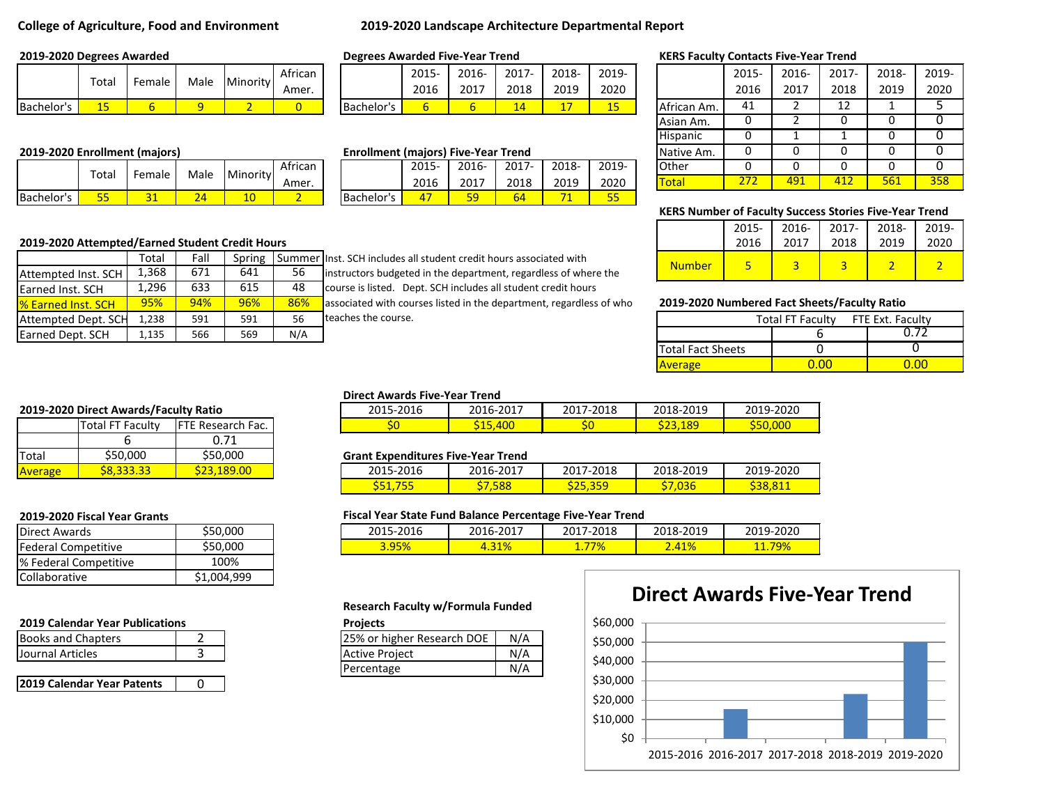# **College of Agriculture, Food and Environment 2019-2020 Landscape Architecture Departmental Report**

|            |  | . Total $ $ Female $ $ Male $ $ Minority $ $ $\frac{1}{2}$ Amer. |  |
|------------|--|------------------------------------------------------------------|--|
| Bachelor's |  |                                                                  |  |

## **2019-2020 Enrollment (majors) Enrollment (majors) Enrollment (majors) Five-Year Trend**

|            | $\tau$ otal |        | Male | Minority | African |            | 2015 | 2016-    | $2017 -$ | 2018- | 201 |
|------------|-------------|--------|------|----------|---------|------------|------|----------|----------|-------|-----|
|            |             | Female |      |          | Amer.   |            | 2016 | 2017     | 2018     | 2019  | 202 |
| Bachelor's | --          |        | . .  | ⊥∪       |         | Bachelor's | -    | гο<br>-- | 64       |       | --  |

|                            | Total | Fall | Spring |     | Summer Inst. SCH includes al |
|----------------------------|-------|------|--------|-----|------------------------------|
| Attempted Inst. SCH        | 1.368 | 671  | 641    | -56 | instructors budgete          |
| <b>Earned Inst. SCH</b>    | 1.296 | 633  | 615    | 48  | course is listed. De         |
| <b>1% Earned Inst. SCH</b> | 95%   | 94%  | 96%    | 86% | associated with cou          |
| Attempted Dept. SCH        | 1.238 | 591  | 591    | 56  | teaches the course.          |
| Earned Dept. SCH           | 1.135 | 566  | 569    | N/A |                              |

95% 94% 94% 96% 86% associated with courses listed in the department, regardless of who **2019-2020 Numbered Fact Sheets/Faculty Ratio** t. SCH includes all student credit hours associated with tructors budgeted in the department, regardless of where the arse is listed. Dept. SCH includes all student credit hours

### **2019-2020 Degrees Awarded Degrees Awarded Five-Year Trend KERS Faculty Contacts Five-Year Trend**

|                               | Total |        | Male         | Minority | African |                                            | 2015- | 2016- | $2017 -$ | 2018- | 2019-            |              | 2015- | 2016- | 2017- | 2018- | 2019- |
|-------------------------------|-------|--------|--------------|----------|---------|--------------------------------------------|-------|-------|----------|-------|------------------|--------------|-------|-------|-------|-------|-------|
|                               |       | Female |              |          | Amer.   |                                            | 2016  | 2017  | 2018     | 2019  | 2020             |              | 2016  | 2017  | 2018  | 2019  | 2020  |
| Bachelor's                    | 15    |        | $\mathbf{Q}$ |          | 0       | Bachelor's                                 | ь     |       | 14       |       | Τ.<br><u> LJ</u> | African Am.  | 41    |       | ∸∸    |       |       |
|                               |       |        |              |          |         |                                            |       |       |          |       |                  | Asian Am.    |       |       |       |       |       |
|                               |       |        |              |          |         |                                            |       |       |          |       |                  | Hispanic     |       |       |       |       |       |
| 2019-2020 Enrollment (majors) |       |        |              |          |         | <b>Enrollment (majors) Five-Year Trend</b> |       |       |          |       |                  | Native Am.   |       |       |       |       |       |
|                               | Totai | Female | Male         | Minority | African |                                            | 2015- | 2016- | $2017 -$ | 2018- | 2019-            | Other        |       |       |       |       |       |
|                               |       |        |              |          | Amer.   |                                            | 2016  | 2017  | 2018     | 2019  | 2020             | <b>Total</b> | 272   | 491   | 412   | 561   | 358   |

### **KERS Number of Faculty Success Stories Five-Year Trend**

|                                                 |       |      |        |      |                                                                       |               | 2015 | 2016- | 2017 | 2018- | 2019 |  |
|-------------------------------------------------|-------|------|--------|------|-----------------------------------------------------------------------|---------------|------|-------|------|-------|------|--|
| 2019-2020 Attempted/Earned Student Credit Hours |       |      |        |      |                                                                       |               | 2016 | 2017  | 2018 | 2019  | 2020 |  |
|                                                 | Total | Fall | Spring |      | I Summer linst. SCH includes all student credit hours associated with | <b>Number</b> |      |       |      |       |      |  |
| Attempted Inst. SCH                             | 1,368 | 671  | 641    | $ -$ | instructors budgeted in the department, regardless of where the       |               |      |       |      |       |      |  |

| 1,238 | 591 | 591 | 56  | teaches the course. |                          | <b>Total FT Faculty</b> | FTE Ext. Faculty |
|-------|-----|-----|-----|---------------------|--------------------------|-------------------------|------------------|
| 1,135 | 566 | 569 | N/A |                     |                          |                         | -5<br>0. L       |
|       |     |     |     |                     | <b>Total Fact Sheets</b> |                         |                  |
|       |     |     |     |                     | Average                  | 0.00                    | 0.00             |

### **2019-2020 Direct Awards/Faculty Ratio**

|         | <b>Total FT Faculty</b> | FTE Research Fac. |  |  |  |
|---------|-------------------------|-------------------|--|--|--|
|         |                         | 0.71              |  |  |  |
| Total   | \$50,000                | \$50,000          |  |  |  |
| Average | <b>\$8.333.33</b>       |                   |  |  |  |

| <b>Direct Awards</b>  | \$50,000    |
|-----------------------|-------------|
| Federal Competitive   | \$50,000    |
| % Federal Competitive | 100%        |
| Collaborative         | \$1.004.999 |

### **2019 Calendar Year Publications Projects**

| <b>Books and Chapters</b> | 125% or higher Research DOE | N/A |
|---------------------------|-----------------------------|-----|
| <b>Journal Articles</b>   | <b>Active Project</b>       | N/A |
|                           | $D^{\alpha}$                | N/I |

| 2019 Calendar Year Patents |
|----------------------------|
|----------------------------|

# **Direct Awards Five-Year Trend**

| _  _ _ _ _ |            |           |           |           |
|------------|------------|-----------|-----------|-----------|
| 2015-2016  | 2016-2017  | 2017-2018 | 2018-2019 | 2019-2020 |
|            | <b>400</b> | ວບ        | \$23,189  | S50,000   |

### **Grant Expenditures Five-Year Trend**

| 2015-2016   | 2016-2017 | 7-2018<br>`^         | 2018-2019 | 2019-2020 |
|-------------|-----------|----------------------|-----------|-----------|
| S51,<br>. . | 5xx       | --<br><u>JLJ,JJJ</u> | ,U36      |           |

### **2019-2020 Fiscal Year Grants Fiscal Year State Fund Balance Percentage Five-Year Trend**

| $-2016$<br>301 F<br>-4707 | 2017-،<br>$1b -$ | 2018<br>2017<br>$\epsilon$ | 18-2019                   | $-2020$<br><b>ZUIJ-</b> |
|---------------------------|------------------|----------------------------|---------------------------|-------------------------|
| 3.95%                     | 4.31%            | '7%                        | $\overline{11}$<br>41. ZO | <u> 19%</u>             |

## **Research Faculty w/Formula Funded**

| 25% or higher Research DOE | N/A |
|----------------------------|-----|
| <b>Active Project</b>      | N/A |
| Percentage                 | N/A |

# **Direct Awards Five-Year Trend**